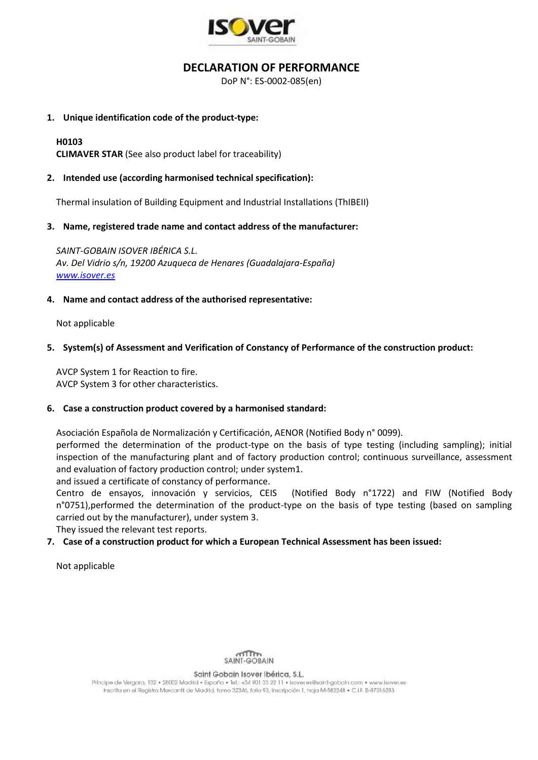

# **DECLARATION OF PERFORMANCE**

DoP N°: ES-0002-085(en)

## **1. Unique identification code of the product-type:**

# **H0103**

**CLIMAVER STAR** (See also product label for traceability)

# **2. Intended use (according harmonised technical specification):**

Thermal insulation of Building Equipment and Industrial Installations (ThIBEII)

### **3. Name, registered trade name and contact address of the manufacturer:**

*SAINT-GOBAIN ISOVER IBÉRICA S.L. Av. Del Vidrio s/n, 19200 Azuqueca de Henares (Guadalajara-España) [www.isover.es](http://www.isover.es/)*

# **4. Name and contact address of the authorised representative:**

Not applicable

# **5. System(s) of Assessment and Verification of Constancy of Performance of the construction product:**

AVCP System 1 for Reaction to fire. AVCP System 3 for other characteristics.

### **6. Case a construction product covered by a harmonised standard:**

Asociación Española de Normalización y Certificación, AENOR (Notified Body n° 0099).

performed the determination of the product-type on the basis of type testing (including sampling); initial inspection of the manufacturing plant and of factory production control; continuous surveillance, assessment and evaluation of factory production control; under system1.

and issued a certificate of constancy of performance.

Centro de ensayos, innovación y servicios, CEIS (Notified Body n°1722) and FIW (Notified Body n°0751),performed the determination of the product-type on the basis of type testing (based on sampling carried out by the manufacturer), under system 3.

They issued the relevant test reports.

# **7. Case of a construction product for which a European Technical Assessment has been issued:**

Not applicable



#### Saint Gobain Isover Ibérica, S.L.

Principe de Vergara, 132 · 28002 Madrid · España · Tel.: +34 901 33 22 11 · Isover, es@saint-gobain.com · www.isover.es Inscrita en el Registro Mercantil de Madrid, tomo 32346, folio 93, inscripción 1, hoja M-582248 • C.I.F. B-87016283